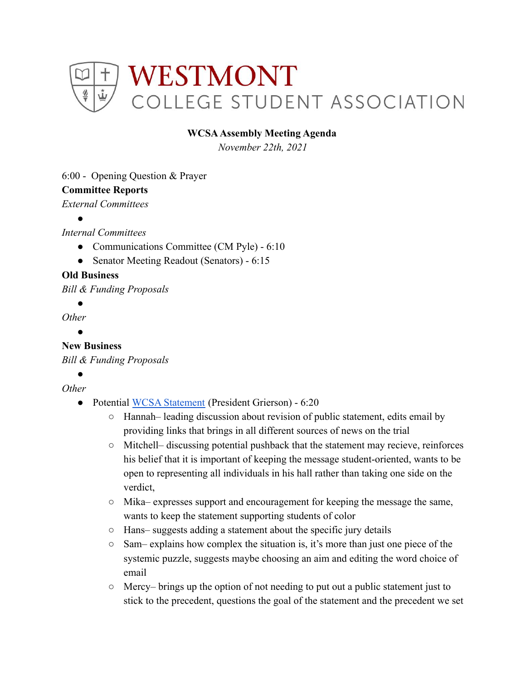

## **WCSAAssembly Meeting Agenda**

*November 22th, 2021*

### 6:00 - Opening Question & Prayer

### **Committee Reports**

*External Committees*

●

*Internal Committees*

- Communications Committee (CM Pyle) 6:10
- Senator Meeting Readout (Senators) 6:15

## **Old Business**

*Bill & Funding Proposals*

●

*Other*

**。** 

# **New Business**

*Bill & Funding Proposals*

●

*Other*

- Potential [WCSA Statement](https://docs.google.com/document/d/1VTWyaOu8Rfo14UFGDTdlS-6N7XhgRkcBcVIHpH_3zrA/edit) (President Grierson) 6:20
	- Hannah– leading discussion about revision of public statement, edits email by providing links that brings in all different sources of news on the trial
	- Mitchell– discussing potential pushback that the statement may recieve, reinforces his belief that it is important of keeping the message student-oriented, wants to be open to representing all individuals in his hall rather than taking one side on the verdict,
	- $\circ$  Mika– expresses support and encouragement for keeping the message the same, wants to keep the statement supporting students of color
	- Hans– suggests adding a statement about the specific jury details
	- Sam– explains how complex the situation is, it's more than just one piece of the systemic puzzle, suggests maybe choosing an aim and editing the word choice of email
	- $\circ$  Mercy– brings up the option of not needing to put out a public statement just to stick to the precedent, questions the goal of the statement and the precedent we set